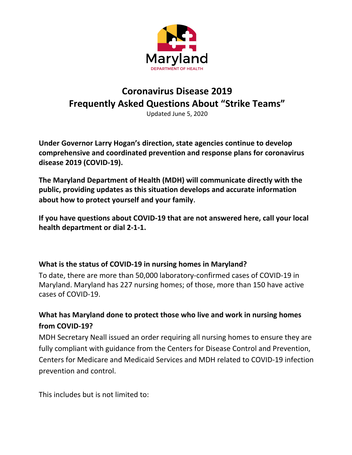

# **Coronavirus Disease 2019 Frequently Asked Questions About "Strike Teams"**

Updated June 5, 2020

**Under Governor Larry Hogan's direction, state agencies continue to develop comprehensive and coordinated prevention and response plans for coronavirus disease 2019 (COVID-19).**

**The Maryland Department of Health (MDH) will communicate directly with the public, providing updates as this situation develops and accurate information about how to protect yourself and your family**.

**If you have questions about COVID-19 that are not answered here, call your local health department or dial 2-1-1.**

## **What is the status of COVID-19 in nursing homes in Maryland?**

To date, there are more than 50,000 laboratory-confirmed cases of COVID-19 in Maryland. Maryland has 227 nursing homes; of those, more than 150 have active cases of COVID-19.

## **What has Maryland done to protect those who live and work in nursing homes from COVID-19?**

MDH Secretary Neall issued an order requiring all nursing homes to ensure they are fully compliant with guidance from the Centers for Disease Control and Prevention, Centers for Medicare and Medicaid Services and MDH related to COVID-19 infection prevention and control.

This includes but is not limited to: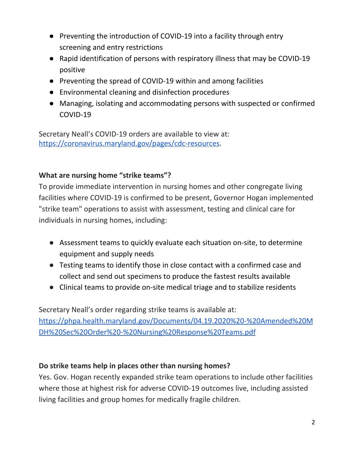- Preventing the introduction of COVID-19 into a facility through entry screening and entry restrictions
- Rapid identification of persons with respiratory illness that may be COVID-19 positive
- Preventing the spread of COVID-19 within and among facilities
- Environmental cleaning and disinfection procedures
- Managing, isolating and accommodating persons with suspected or confirmed COVID-19

Secretary Neall's COVID-19 orders are available to view at: <https://coronavirus.maryland.gov/pages/cdc-resources>.

## **What are nursing home "strike teams"?**

To provide immediate intervention in nursing homes and other congregate living facilities where COVID-19 is confirmed to be present, Governor Hogan implemented "strike team" operations to assist with assessment, testing and clinical care for individuals in nursing homes, including:

- Assessment teams to quickly evaluate each situation on-site, to determine equipment and supply needs
- Testing teams to identify those in close contact with a confirmed case and collect and send out specimens to produce the fastest results available
- Clinical teams to provide on-site medical triage and to stabilize residents

Secretary Neall's order regarding strike teams is available at: [https://phpa.health.maryland.gov/Documents/04.19.2020%20-%20Amended%20M](https://phpa.health.maryland.gov/Documents/04.19.2020%20-%20Amended%20MDH%20Sec%20Order%20-%20Nursing%20Response%20Teams.pdf) [DH%20Sec%20Order%20-%20Nursing%20Response%20Teams.pdf](https://phpa.health.maryland.gov/Documents/04.19.2020%20-%20Amended%20MDH%20Sec%20Order%20-%20Nursing%20Response%20Teams.pdf)

## **Do strike teams help in places other than nursing homes?**

Yes. Gov. Hogan recently expanded strike team operations to include other facilities where those at highest risk for adverse COVID-19 outcomes live, including assisted living facilities and group homes for medically fragile children.